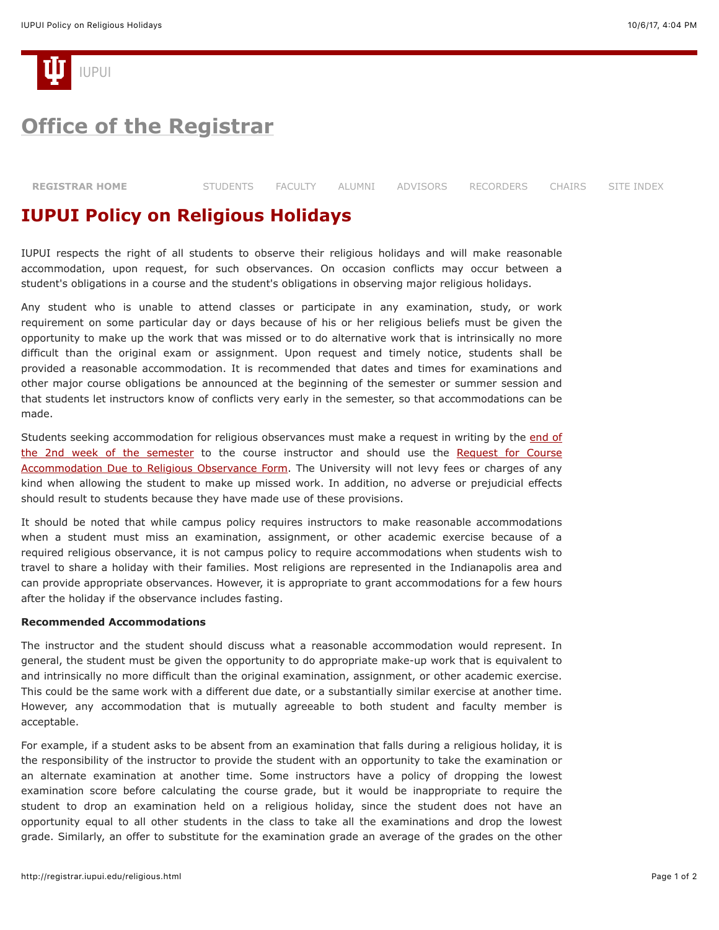

## **[Office of the Registrar](http://registrar.iupui.edu/)**

| <b>REGISTRAR HOME</b> |  |  |  |  | STUDENTS FACULTY ALUMNI ADVISORS RECORDERS CHAIRS SITE_INDEX |  |  |
|-----------------------|--|--|--|--|--------------------------------------------------------------|--|--|
|-----------------------|--|--|--|--|--------------------------------------------------------------|--|--|

### **IUPUI Policy on Religious Holidays**

IUPUI respects the right of all students to observe their religious holidays and will make reasonable accommodation, upon request, for such observances. On occasion conflicts may occur between a student's obligations in a course and the student's obligations in observing major religious holidays.

Any student who is unable to attend classes or participate in any examination, study, or work requirement on some particular day or days because of his or her religious beliefs must be given the opportunity to make up the work that was missed or to do alternative work that is intrinsically no more difficult than the original exam or assignment. Upon request and timely notice, students shall be provided a reasonable accommodation. It is recommended that dates and times for examinations and other major course obligations be announced at the beginning of the semester or summer session and that students let instructors know of conflicts very early in the semester, so that accommodations can be made.

[Students seeking accommodation for religious observances must make a request in writing by the end of](http://registrar.iupui.edu/accal.html) [the 2nd week of the semester to the course instructor and should use the Request for Course](http://registrar.iupui.edu/religiousholidayform.html) Accommodation Due to Religious Observance Form. The University will not levy fees or charges of any kind when allowing the student to make up missed work. In addition, no adverse or prejudicial effects should result to students because they have made use of these provisions.

It should be noted that while campus policy requires instructors to make reasonable accommodations when a student must miss an examination, assignment, or other academic exercise because of a required religious observance, it is not campus policy to require accommodations when students wish to travel to share a holiday with their families. Most religions are represented in the Indianapolis area and can provide appropriate observances. However, it is appropriate to grant accommodations for a few hours after the holiday if the observance includes fasting.

#### **Recommended Accommodations**

The instructor and the student should discuss what a reasonable accommodation would represent. In general, the student must be given the opportunity to do appropriate make-up work that is equivalent to and intrinsically no more difficult than the original examination, assignment, or other academic exercise. This could be the same work with a different due date, or a substantially similar exercise at another time. However, any accommodation that is mutually agreeable to both student and faculty member is acceptable.

For example, if a student asks to be absent from an examination that falls during a religious holiday, it is the responsibility of the instructor to provide the student with an opportunity to take the examination or an alternate examination at another time. Some instructors have a policy of dropping the lowest examination score before calculating the course grade, but it would be inappropriate to require the student to drop an examination held on a religious holiday, since the student does not have an opportunity equal to all other students in the class to take all the examinations and drop the lowest grade. Similarly, an offer to substitute for the examination grade an average of the grades on the other